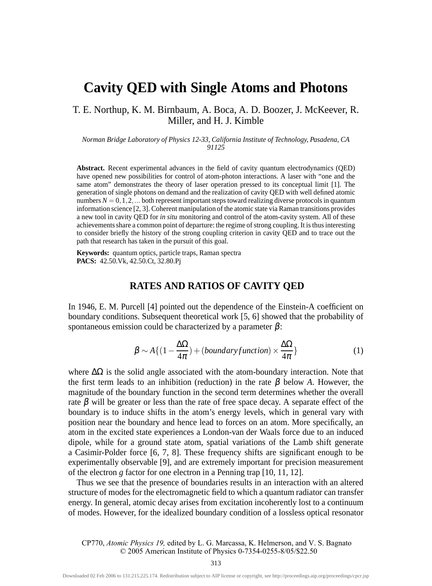# **Cavity QED with Single Atoms and Photons**

T. E. Northup, K. M. Birnbaum, A. Boca, A. D. Boozer, J. McKeever, R. Miller, and H. J. Kimble

*Norman Bridge Laboratory of Physics 12-33, California Institute of Technology, Pasadena, CA 91125*

**Abstract.** Recent experimental advances in the field of cavity quantum electrodynamics (QED) have opened new possibilities for control of atom-photon interactions. A laser with "one and the same atom" demonstrates the theory of laser operation pressed to its conceptual limit [1]. The generation of single photons on demand and the realization of cavity QED with well defined atomic numbers  $N = 0, 1, 2, \dots$  both represent important steps toward realizing diverse protocols in quantum information science [2, 3]. Coherent manipulation of the atomic state via Raman transitions provides a new tool in cavity QED for *in situ* monitoring and control of the atom-cavity system. All of these achievements share a common point of departure: the regime of strong coupling. It is thus interesting to consider briefly the history of the strong coupling criterion in cavity QED and to trace out the path that research has taken in the pursuit of this goal.

**Keywords:** quantum optics, particle traps, Raman spectra **PACS:** 42.50.Vk, 42.50.Ct, 32.80.Pj

## **RATES AND RATIOS OF CAVITY QED**

In 1946, E. M. Purcell [4] pointed out the dependence of the Einstein-A coefficient on boundary conditions. Subsequent theoretical work [5, 6] showed that the probability of spontaneous emission could be characterized by a parameter  $\beta$ :

$$
\beta \sim A\{(1 - \frac{\Delta\Omega}{4\pi}) + (boundary function) \times \frac{\Delta\Omega}{4\pi}\}\tag{1}
$$

where  $\Delta\Omega$  is the solid angle associated with the atom-boundary interaction. Note that the first term leads to an inhibition (reduction) in the rate  $\beta$  below A. However, the magnitude of the boundary function in the second term determines whether the overall rate  $\beta$  will be greater or less than the rate of free space decay. A separate effect of the boundary is to induce shifts in the atom's energy levels, which in general vary with position near the boundary and hence lead to forces on an atom. More specifically, an atom in the excited state experiences a London-van der Waals force due to an induced dipole, while for a ground state atom, spatial variations of the Lamb shift generate a Casimir-Polder force [6, 7, 8]. These frequency shifts are significant enough to be experimentally observable [9], and are extremely important for precision measurement of the electron *g* factor for one electron in a Penning trap [10, 11, 12].

Thus we see that the presence of boundaries results in an interaction with an altered structure of modes for the electromagnetic field to which a quantum radiator can transfer energy. In general, atomic decay arises from excitation incoherently lost to a continuum of modes. However, for the idealized boundary condition of a lossless optical resonator

CP770, *Atomic Physics 19,* edited by L. G. Marcassa, K. Helmerson, and V. S. Bagnato © 2005 American Institute of Physics 0-7354-0255-8/05/\$22.50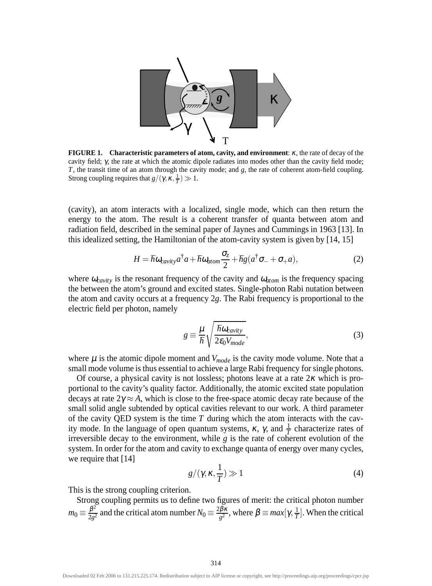

**FIGURE 1. Characteristic parameters of atom, cavity, and environment**: <sup>κ</sup>, the rate of decay of the cavity field; γ, the rate at which the atomic dipole radiates into modes other than the cavity field mode; *T*, the transit time of an atom through the cavity mode; and *g*, the rate of coherent atom-field coupling. Strong coupling requires that  $g/(\gamma, \kappa, \frac{1}{T}) \gg 1$ .

(cavity), an atom interacts with a localized, single mode, which can then return the energy to the atom. The result is a coherent transfer of quanta between atom and radiation field, described in the seminal paper of Jaynes and Cummings in 1963 [13]. In this idealized setting, the Hamiltonian of the atom-cavity system is given by [14, 15]

$$
H = \hbar \omega_{cavity} a^{\dagger} a + \hbar \omega_{atom} \frac{\sigma_z}{2} + \hbar g (a^{\dagger} \sigma_- + \sigma_+ a), \tag{2}
$$

where  $\omega_{cavity}$  is the resonant frequency of the cavity and  $\omega_{atom}$  is the frequency spacing the between the atom's ground and excited states. Single-photon Rabi nutation between the atom and cavity occurs at a frequency 2*g*. The Rabi frequency is proportional to the electric field per photon, namely

$$
g \equiv \frac{\mu}{\hbar} \sqrt{\frac{\hbar \omega_{cavity}}{2\epsilon_0 V_{mode}}},\tag{3}
$$

where  $\mu$  is the atomic dipole moment and  $V_{mode}$  is the cavity mode volume. Note that a small mode volume is thus essential to achieve a large Rabi frequency for single photons.

Of course, a physical cavity is not lossless; photons leave at a rate  $2\kappa$  which is proportional to the cavity's quality factor. Additionally, the atomic excited state population decays at rate  $2\gamma \approx A$ , which is close to the free-space atomic decay rate because of the small solid angle subtended by optical cavities relevant to our work. A third parameter of the cavity QED system is the time *T* during which the atom interacts with the cavity mode. In the language of open quantum systems,  $\kappa$ ,  $\gamma$ , and  $\frac{1}{T}$  characterize rates of irreversible decay to the environment, while *g* is the rate of coherent evolution of the system. In order for the atom and cavity to exchange quanta of energy over many cycles, we require that [14]

$$
g/(\gamma, \kappa, \frac{1}{T}) \gg 1 \tag{4}
$$

This is the strong coupling criterion.

Strong coupling permits us to define two figures of merit: the critical photon number  $m_0 \equiv \frac{\beta^2}{2g^2}$  and the critical atom number  $N_0 \equiv \frac{2\beta\kappa}{g^2}$ , where  $\beta \equiv max[\gamma, \frac{1}{T}]$ . When the critical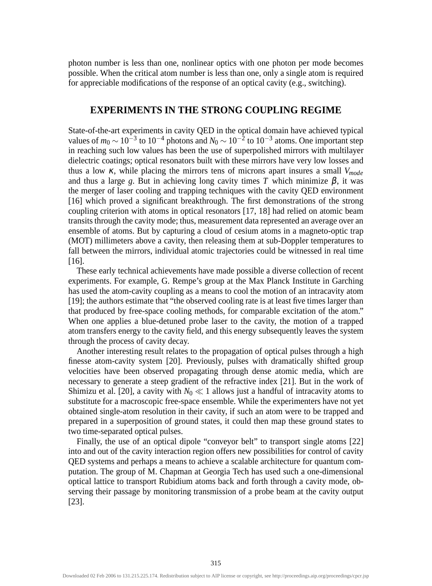photon number is less than one, nonlinear optics with one photon per mode becomes possible. When the critical atom number is less than one, only a single atom is required for appreciable modifications of the response of an optical cavity (e.g., switching).

#### **EXPERIMENTS IN THE STRONG COUPLING REGIME**

State-of-the-art experiments in cavity QED in the optical domain have achieved typical values of  $m_0 \sim 10^{-3}$  to  $10^{-4}$  photons and  $N_0 \sim 10^{-2}$  to  $10^{-3}$  atoms. One important step in reaching such low values has been the use of superpolished mirrors with multilayer dielectric coatings; optical resonators built with these mirrors have very low losses and thus a low <sup>κ</sup>, while placing the mirrors tens of microns apart insures a small *Vmode* and thus a large *g*. But in achieving long cavity times *T* which minimize  $\beta$ , it was the merger of laser cooling and trapping techniques with the cavity QED environment [16] which proved a significant breakthrough. The first demonstrations of the strong coupling criterion with atoms in optical resonators [17, 18] had relied on atomic beam transits through the cavity mode; thus, measurement data represented an average over an ensemble of atoms. But by capturing a cloud of cesium atoms in a magneto-optic trap (MOT) millimeters above a cavity, then releasing them at sub-Doppler temperatures to fall between the mirrors, individual atomic trajectories could be witnessed in real time [16].

These early technical achievements have made possible a diverse collection of recent experiments. For example, G. Rempe's group at the Max Planck Institute in Garching has used the atom-cavity coupling as a means to cool the motion of an intracavity atom [19]; the authors estimate that "the observed cooling rate is at least five times larger than that produced by free-space cooling methods, for comparable excitation of the atom." When one applies a blue-detuned probe laser to the cavity, the motion of a trapped atom transfers energy to the cavity field, and this energy subsequently leaves the system through the process of cavity decay.

Another interesting result relates to the propagation of optical pulses through a high finesse atom-cavity system [20]. Previously, pulses with dramatically shifted group velocities have been observed propagating through dense atomic media, which are necessary to generate a steep gradient of the refractive index [21]. But in the work of Shimizu et al. [20], a cavity with  $N_0 \ll 1$  allows just a handful of intracavity atoms to substitute for a macroscopic free-space ensemble. While the experimenters have not yet obtained single-atom resolution in their cavity, if such an atom were to be trapped and prepared in a superposition of ground states, it could then map these ground states to two time-separated optical pulses.

Finally, the use of an optical dipole "conveyor belt" to transport single atoms [22] into and out of the cavity interaction region offers new possibilities for control of cavity QED systems and perhaps a means to achieve a scalable architecture for quantum computation. The group of M. Chapman at Georgia Tech has used such a one-dimensional optical lattice to transport Rubidium atoms back and forth through a cavity mode, observing their passage by monitoring transmission of a probe beam at the cavity output [23].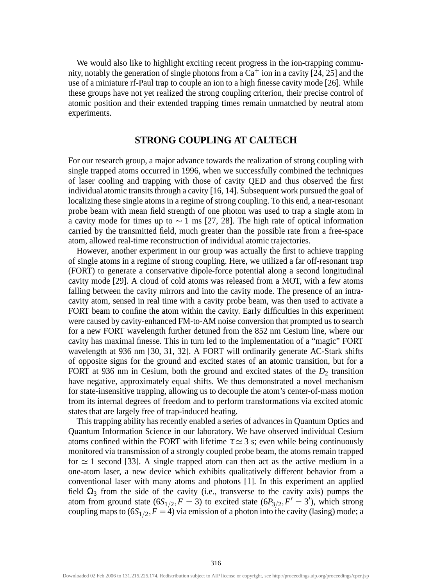We would also like to highlight exciting recent progress in the ion-trapping community, notably the generation of single photons from a  $Ca<sup>+</sup>$  ion in a cavity [24, 25] and the use of a miniature rf-Paul trap to couple an ion to a high finesse cavity mode [26]. While these groups have not yet realized the strong coupling criterion, their precise control of atomic position and their extended trapping times remain unmatched by neutral atom experiments.

#### **STRONG COUPLING AT CALTECH**

For our research group, a major advance towards the realization of strong coupling with single trapped atoms occurred in 1996, when we successfully combined the techniques of laser cooling and trapping with those of cavity QED and thus observed the first individual atomic transits through a cavity [16, 14]. Subsequent work pursued the goal of localizing these single atoms in a regime of strong coupling. To this end, a near-resonant probe beam with mean field strength of one photon was used to trap a single atom in a cavity mode for times up to  $\sim$  1 ms [27, 28]. The high rate of optical information carried by the transmitted field, much greater than the possible rate from a free-space atom, allowed real-time reconstruction of individual atomic trajectories.

However, another experiment in our group was actually the first to achieve trapping of single atoms in a regime of strong coupling. Here, we utilized a far off-resonant trap (FORT) to generate a conservative dipole-force potential along a second longitudinal cavity mode [29]. A cloud of cold atoms was released from a MOT, with a few atoms falling between the cavity mirrors and into the cavity mode. The presence of an intracavity atom, sensed in real time with a cavity probe beam, was then used to activate a FORT beam to confine the atom within the cavity. Early difficulties in this experiment were caused by cavity-enhanced FM-to-AM noise conversion that prompted us to search for a new FORT wavelength further detuned from the 852 nm Cesium line, where our cavity has maximal finesse. This in turn led to the implementation of a "magic" FORT wavelength at 936 nm [30, 31, 32]. A FORT will ordinarily generate AC-Stark shifts of opposite signs for the ground and excited states of an atomic transition, but for a FORT at 936 nm in Cesium, both the ground and excited states of the  $D_2$  transition have negative, approximately equal shifts. We thus demonstrated a novel mechanism for state-insensitive trapping, allowing us to decouple the atom's center-of-mass motion from its internal degrees of freedom and to perform transformations via excited atomic states that are largely free of trap-induced heating.

This trapping ability has recently enabled a series of advances in Quantum Optics and Quantum Information Science in our laboratory. We have observed individual Cesium atoms confined within the FORT with lifetime  $\tau \approx 3$  s; even while being continuously monitored via transmission of a strongly coupled probe beam, the atoms remain trapped for  $\simeq$  1 second [33]. A single trapped atom can then act as the active medium in a one-atom laser, a new device which exhibits qualitatively different behavior from a conventional laser with many atoms and photons [1]. In this experiment an applied field  $\Omega_3$  from the side of the cavity (i.e., transverse to the cavity axis) pumps the atom from ground state  $(6S_{1/2}, F = 3)$  to excited state  $(6P_{3/2}, F' = 3')$ , which strong coupling maps to  $(6S_{1/2}, F = 4)$  via emission of a photon into the cavity (lasing) mode; a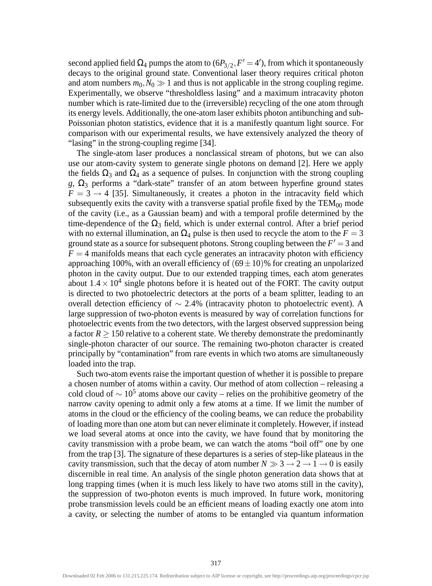second applied field  $\Omega_4$  pumps the atom to (6 $P_{3/2}$ ,  $F' = 4'$ ), from which it spontaneously decays to the original ground state. Conventional laser theory requires critical photon and atom numbers  $m_0$ ,  $N_0 \gg 1$  and thus is not applicable in the strong coupling regime. Experimentally, we observe "thresholdless lasing" and a maximum intracavity photon number which is rate-limited due to the (irreversible) recycling of the one atom through its energy levels. Additionally, the one-atom laser exhibits photon antibunching and sub-Poissonian photon statistics, evidence that it is a manifestly quantum light source. For comparison with our experimental results, we have extensively analyzed the theory of "lasing" in the strong-coupling regime [34].

The single-atom laser produces a nonclassical stream of photons, but we can also use our atom-cavity system to generate single photons on demand [2]. Here we apply the fields  $\Omega_3$  and  $\Omega_4$  as a sequence of pulses. In conjunction with the strong coupling  $g, \Omega_3$  performs a "dark-state" transfer of an atom between hyperfine ground states  $F = 3 \rightarrow 4$  [35]. Simultaneously, it creates a photon in the intracavity field which subsequently exits the cavity with a transverse spatial profile fixed by the  $TEM_{00}$  mode of the cavity (i.e., as a Gaussian beam) and with a temporal profile determined by the time-dependence of the  $\Omega_3$  field, which is under external control. After a brief period with no external illumination, an  $\Omega_4$  pulse is then used to recycle the atom to the  $F = 3$ ground state as a source for subsequent photons. Strong coupling between the  $F' = 3$  and  $F = 4$  manifolds means that each cycle generates an intracavity photon with efficiency approaching 100%, with an overall efficiency of  $(69 \pm 10)$ % for creating an unpolarized photon in the cavity output. Due to our extended trapping times, each atom generates about  $1.4 \times 10^4$  single photons before it is heated out of the FORT. The cavity output is directed to two photoelectric detectors at the ports of a beam splitter, leading to an overall detection efficiency of ∼ 2*.*4% (intracavity photon to photoelectric event). A large suppression of two-photon events is measured by way of correlation functions for photoelectric events from the two detectors, with the largest observed suppression being a factor  $R \ge 150$  relative to a coherent state. We thereby demonstrate the predominantly single-photon character of our source. The remaining two-photon character is created principally by "contamination" from rare events in which two atoms are simultaneously loaded into the trap.

Such two-atom events raise the important question of whether it is possible to prepare a chosen number of atoms within a cavity. Our method of atom collection – releasing a cold cloud of  $\sim 10^5$  atoms above our cavity – relies on the prohibitive geometry of the narrow cavity opening to admit only a few atoms at a time. If we limit the number of atoms in the cloud or the efficiency of the cooling beams, we can reduce the probability of loading more than one atom but can never eliminate it completely. However, if instead we load several atoms at once into the cavity, we have found that by monitoring the cavity transmission with a probe beam, we can watch the atoms "boil off" one by one from the trap [3]. The signature of these departures is a series of step-like plateaus in the cavity transmission, such that the decay of atom number  $N \gg 3 \rightarrow 2 \rightarrow 1 \rightarrow 0$  is easily discernible in real time. An analysis of the single photon generation data shows that at long trapping times (when it is much less likely to have two atoms still in the cavity), the suppression of two-photon events is much improved. In future work, monitoring probe transmission levels could be an efficient means of loading exactly one atom into a cavity, or selecting the number of atoms to be entangled via quantum information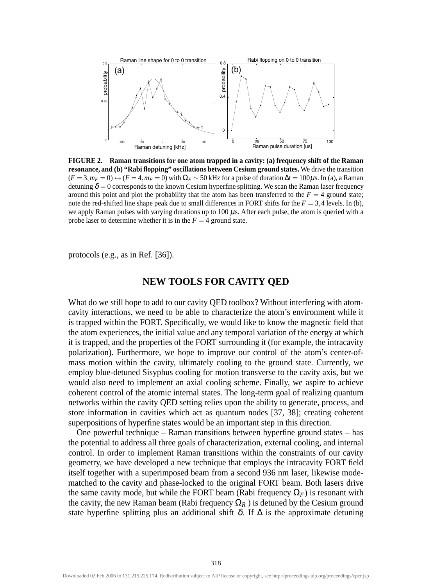

**FIGURE 2. Raman transitions for one atom trapped in a cavity: (a) frequency shift of the Raman resonance, and (b) "Rabi flopping" oscillations between Cesium ground states.** We drive the transition  $(F = 3, m_F = 0) \leftrightarrow (F = 4, m_F = 0)$  with  $\Omega_F \sim 50$  kHz for a pulse of duration  $\Delta t = 100 \mu$ s. In (a), a Raman detuning  $\delta = 0$  corresponds to the known Cesium hyperfine splitting. We scan the Raman laser frequency around this point and plot the probability that the atom has been transferred to the  $F = 4$  ground state; note the red-shifted line shape peak due to small differences in FORT shifts for the  $F = 3,4$  levels. In (b), we apply Raman pulses with varying durations up to 100  $\mu$ s. After each pulse, the atom is queried with a probe laser to determine whether it is in the  $F = 4$  ground state.

protocols (e.g., as in Ref. [36]).

## **NEW TOOLS FOR CAVITY QED**

What do we still hope to add to our cavity **QED** toolbox? Without interfering with atomcavity interactions, we need to be able to characterize the atom's environment while it is trapped within the FORT. Specifically, we would like to know the magnetic field that the atom experiences, the initial value and any temporal variation of the energy at which it is trapped, and the properties of the FORT surrounding it (for example, the intracavity polarization). Furthermore, we hope to improve our control of the atom's center-ofmass motion within the cavity, ultimately cooling to the ground state. Currently, we employ blue-detuned Sisyphus cooling for motion transverse to the cavity axis, but we would also need to implement an axial cooling scheme. Finally, we aspire to achieve coherent control of the atomic internal states. The long-term goal of realizing quantum networks within the cavity QED setting relies upon the ability to generate, process, and store information in cavities which act as quantum nodes [37, 38]; creating coherent superpositions of hyperfine states would be an important step in this direction.

One powerful technique – Raman transitions between hyperfine ground states – has the potential to address all three goals of characterization, external cooling, and internal control. In order to implement Raman transitions within the constraints of our cavity geometry, we have developed a new technique that employs the intracavity FORT field itself together with a superimposed beam from a second 936 nm laser, likewise modematched to the cavity and phase-locked to the original FORT beam. Both lasers drive the same cavity mode, but while the FORT beam (Rabi frequency  $\Omega_F$ ) is resonant with the cavity, the new Raman beam (Rabi frequency  $\Omega_R$ ) is detuned by the Cesium ground state hyperfine splitting plus an additional shift  $\delta$ . If  $\Delta$  is the approximate detuning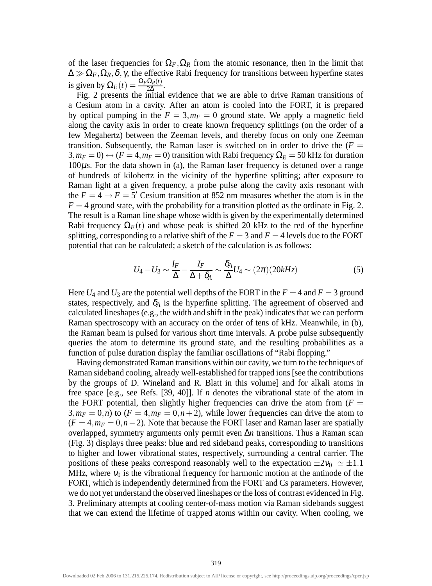of the laser frequencies for  $\Omega_F$ ,  $\Omega_R$  from the atomic resonance, then in the limit that  $\Delta \gg \Omega_F, \Omega_R, \delta, \gamma$ , the effective Rabi frequency for transitions between hyperfine states is given by  $\Omega_E(t) = \frac{\Omega_F \Omega_R(t)}{2\Delta}$ .

Fig. 2 presents the initial evidence that we are able to drive Raman transitions of a Cesium atom in a cavity. After an atom is cooled into the FORT, it is prepared by optical pumping in the  $F = 3$ ,  $m_F = 0$  ground state. We apply a magnetic field along the cavity axis in order to create known frequency splittings (on the order of a few Megahertz) between the Zeeman levels, and thereby focus on only one Zeeman transition. Subsequently, the Raman laser is switched on in order to drive the  $(F =$  $3, m_F = 0$ )  $\leftrightarrow$   $(F = 4, m_F = 0)$  transition with Rabi frequency  $\Omega_F = 50$  kHz for duration 100µs. For the data shown in (a), the Raman laser frequency is detuned over a range of hundreds of kilohertz in the vicinity of the hyperfine splitting; after exposure to Raman light at a given frequency, a probe pulse along the cavity axis resonant with the  $F = 4 \rightarrow F = 5'$  Cesium transition at 852 nm measures whether the atom is in the  $F = 4$  ground state, with the probability for a transition plotted as the ordinate in Fig. 2. The result is a Raman line shape whose width is given by the experimentally determined Rabi frequency  $\Omega_E(t)$  and whose peak is shifted 20 kHz to the red of the hyperfine splitting, corresponding to a relative shift of the  $F = 3$  and  $F = 4$  levels due to the FORT potential that can be calculated; a sketch of the calculation is as follows:

$$
U_4 - U_3 \sim \frac{I_F}{\Delta} - \frac{I_F}{\Delta + \delta_A} \sim \frac{\delta_A}{\Delta} U_4 \sim (2\pi)(20kHz)
$$
 (5)

Here  $U_4$  and  $U_3$  are the potential well depths of the FORT in the  $F = 4$  and  $F = 3$  ground states, respectively, and  $\delta_A$  is the hyperfine splitting. The agreement of observed and calculated lineshapes (e.g., the width and shift in the peak) indicates that we can perform Raman spectroscopy with an accuracy on the order of tens of kHz. Meanwhile, in (b), the Raman beam is pulsed for various short time intervals. A probe pulse subsequently queries the atom to determine its ground state, and the resulting probabilities as a function of pulse duration display the familiar oscillations of "Rabi flopping."

Having demonstrated Raman transitions within our cavity, we turn to the techniques of Raman sideband cooling, already well-established for trapped ions [see the contributions by the groups of D. Wineland and R. Blatt in this volume] and for alkali atoms in free space [e.g., see Refs. [39, 40]]. If *n* denotes the vibrational state of the atom in the FORT potential, then slightly higher frequencies can drive the atom from  $(F =$  $3, m_F = 0, n$ ) to  $(F = 4, m_F = 0, n + 2)$ , while lower frequencies can drive the atom to  $(F = 4, m_F = 0, n - 2)$ . Note that because the FORT laser and Raman laser are spatially overlapped, symmetry arguments only permit even ∆*n* transitions. Thus a Raman scan (Fig. 3) displays three peaks: blue and red sideband peaks, corresponding to transitions to higher and lower vibrational states, respectively, surrounding a central carrier. The positions of these peaks correspond reasonably well to the expectation  $\pm 2v_0 \approx \pm 1.1$ MHz, where  $v_0$  is the vibrational frequency for harmonic motion at the antinode of the FORT, which is independently determined from the FORT and Cs parameters. However, we do not yet understand the observed lineshapes or the loss of contrast evidenced in Fig. 3. Preliminary attempts at cooling center-of-mass motion via Raman sidebands suggest that we can extend the lifetime of trapped atoms within our cavity. When cooling, we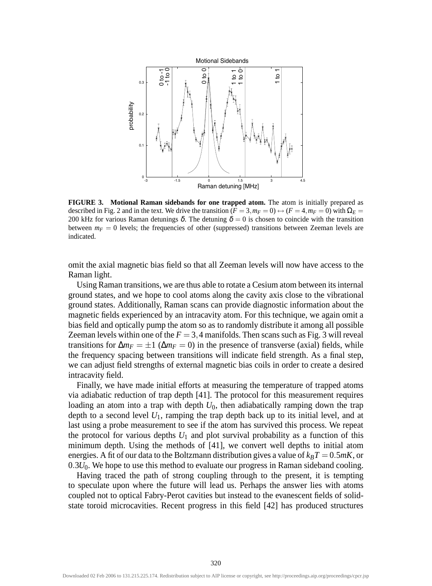

**FIGURE 3. Motional Raman sidebands for one trapped atom.** The atom is initially prepared as described in Fig. 2 and in the text. We drive the transition  $(F = 3, m_F = 0) \leftrightarrow (F = 4, m_F = 0)$  with  $\Omega_E =$ 200 kHz for various Raman detunings  $\delta$ . The detuning  $\delta = 0$  is chosen to coincide with the transition between  $m_F = 0$  levels; the frequencies of other (suppressed) transitions between Zeeman levels are indicated.

omit the axial magnetic bias field so that all Zeeman levels will now have access to the Raman light.

Using Raman transitions, we are thus able to rotate a Cesium atom between its internal ground states, and we hope to cool atoms along the cavity axis close to the vibrational ground states. Additionally, Raman scans can provide diagnostic information about the magnetic fields experienced by an intracavity atom. For this technique, we again omit a bias field and optically pump the atom so as to randomly distribute it among all possible Zeeman levels within one of the  $F = 3,4$  manifolds. Then scans such as Fig. 3 will reveal transitions for  $\Delta m_F = \pm 1$  ( $\Delta m_F = 0$ ) in the presence of transverse (axial) fields, while the frequency spacing between transitions will indicate field strength. As a final step, we can adjust field strengths of external magnetic bias coils in order to create a desired intracavity field.

Finally, we have made initial efforts at measuring the temperature of trapped atoms via adiabatic reduction of trap depth [41]. The protocol for this measurement requires loading an atom into a trap with depth  $U_0$ , then adiabatically ramping down the trap depth to a second level  $U_1$ , ramping the trap depth back up to its initial level, and at last using a probe measurement to see if the atom has survived this process. We repeat the protocol for various depths  $U_1$  and plot survival probability as a function of this minimum depth. Using the methods of [41], we convert well depths to initial atom energies. A fit of our data to the Boltzmann distribution gives a value of  $k_B T = 0.5 mK$ , or 0.3 $U_0$ . We hope to use this method to evaluate our progress in Raman sideband cooling.

Having traced the path of strong coupling through to the present, it is tempting to speculate upon where the future will lead us. Perhaps the answer lies with atoms coupled not to optical Fabry-Perot cavities but instead to the evanescent fields of solidstate toroid microcavities. Recent progress in this field [42] has produced structures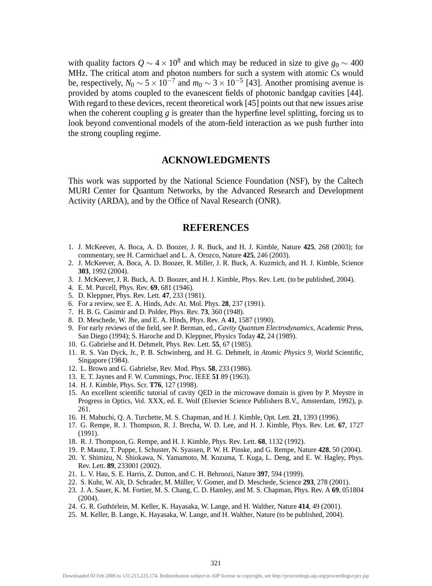with quality factors  $Q \sim 4 \times 10^8$  and which may be reduced in size to give  $g_0 \sim 400$ MHz. The critical atom and photon numbers for such a system with atomic Cs would be, respectively,  $N_0 \sim 5 \times 10^{-7}$  and  $m_0 \sim 3 \times 10^{-5}$  [43]. Another promising avenue is provided by atoms coupled to the evanescent fields of photonic bandgap cavities [44]. With regard to these devices, recent theoretical work [45] points out that new issues arise when the coherent coupling *g* is greater than the hyperfine level splitting, forcing us to look beyond conventional models of the atom-field interaction as we push further into the strong coupling regime.

### **ACKNOWLEDGMENTS**

This work was supported by the National Science Foundation (NSF), by the Caltech MURI Center for Quantum Networks, by the Advanced Research and Development Activity (ARDA), and by the Office of Naval Research (ONR).

#### **REFERENCES**

- 1. J. McKeever, A. Boca, A. D. Boozer, J. R. Buck, and H. J. Kimble, Nature **425**, 268 (2003); for commentary, see H. Carmichael and L. A. Orozco, Nature **425**, 246 (2003).
- 2. J. McKeever, A. Boca, A. D. Boozer, R. Miller, J. R. Buck, A. Kuzmich, and H. J. Kimble, Science **303**, 1992 (2004).
- 3. J. McKeever, J. R. Buck, A. D. Boozer, and H. J. Kimble, Phys. Rev. Lett. (to be published, 2004).
- 4. E. M. Purcell, Phys. Rev. **69**, 681 (1946).
- 5. D. Kleppner, Phys. Rev. Lett. **47**, 233 (1981).
- 6. For a review, see E. A. Hinds, Adv. At. Mol. Phys. **28**, 237 (1991).
- 7. H. B. G. Casimir and D. Polder, Phys. Rev. **73**, 360 (1948).
- 8. D. Meschede, W. Jhe, and E. A. Hinds, Phys. Rev. A **41**, 1587 (1990).
- 9. For early reviews of the field, see P. Berman, ed., *Cavity Quantum Electrodynamics*, Academic Press, San Diego (1994); S. Haroche and D. Kleppner, Physics Today **42**, 24 (1989).
- 10. G. Gabrielse and H. Dehmelt, Phys. Rev. Lett. **55**, 67 (1985).
- 11. R. S. Van Dyck, Jr., P. B. Schwinberg, and H. G. Dehmelt, in *Atomic Physics 9*, World Scientific, Singapore (1984).
- 12. L. Brown and G. Gabrielse, Rev. Mod. Phys. **58**, 233 (1986).
- 13. E. T. Jaynes and F. W. Cummings, Proc. IEEE **51** 89 (1963).
- 14. H. J. Kimble, Phys. Scr. **T76**, 127 (1998).
- 15. An excellent scientific tutorial of cavity QED in the microwave domain is given by P. Meystre in Progress in Optics, Vol. XXX, ed. E. Wolf (Elsevier Science Publishers B.V., Amsterdam, 1992), p. 261.
- 16. H. Mabuchi, Q. A. Turchette, M. S. Chapman, and H. J. Kimble, Opt. Lett. **21**, 1393 (1996).
- 17. G. Rempe, R. J. Thompson, R. J. Brecha, W. D. Lee, and H. J. Kimble, Phys. Rev. Let. **67**, 1727 (1991).
- 18. R. J. Thompson, G. Rempe, and H. J. Kimble, Phys. Rev. Lett. **68**, 1132 (1992).
- 19. P. Maunz, T. Puppe, I. Schuster, N. Syassen, P. W. H. Pinske, and G. Rempe, Nature **428**, 50 (2004).
- 20. Y. Shimizu, N. Shiokawa, N. Yamamoto, M. Kozuma, T. Kuga, L. Deng, and E. W. Hagley, Phys. Rev. Lett. **89**, 233001 (2002).
- 21. L. V. Hau, S. E. Harris, Z. Dutton, and C. H. Behroozi, Nature **397**, 594 (1999).
- 22. S. Kuhr, W. Alt, D. Schrader, M. Müller, V. Gomer, and D. Meschede, Science **293**, 278 (2001).
- 23. J. A. Sauer, K. M. Fortier, M. S. Chang, C. D. Hamley, and M. S. Chapman, Phys. Rev. A **69**, 051804 (2004).
- 24. G. R. Guthörlein, M. Keller, K. Hayasaka, W. Lange, and H. Walther, Nature **414**, 49 (2001).
- 25. M. Keller, B. Lange, K. Hayasaka, W. Lange, and H. Walther, Nature (to be published, 2004).